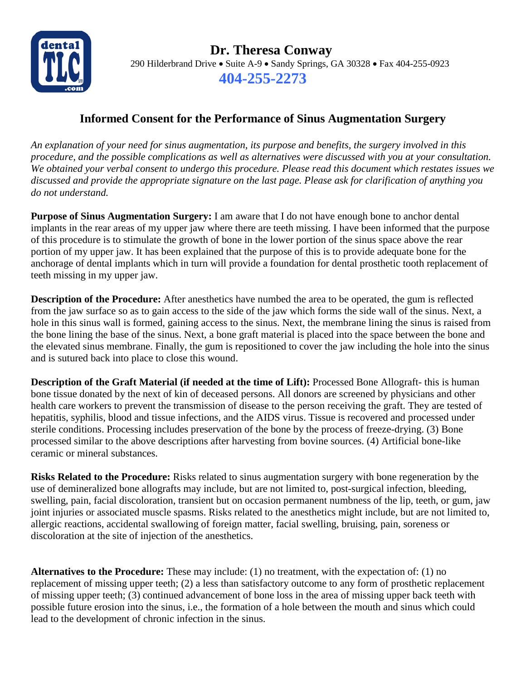

 **Dr. Theresa Conway** 290 Hilderbrand Drive • Suite A-9 • Sandy Springs, GA 30328 • Fax 404-255-0923 **404-255-2273**

## **Informed Consent for the Performance of Sinus Augmentation Surgery**

*An explanation of your need for sinus augmentation, its purpose and benefits, the surgery involved in this procedure, and the possible complications as well as alternatives were discussed with you at your consultation. We obtained your verbal consent to undergo this procedure. Please read this document which restates issues we discussed and provide the appropriate signature on the last page. Please ask for clarification of anything you do not understand.*

**Purpose of Sinus Augmentation Surgery:** I am aware that I do not have enough bone to anchor dental implants in the rear areas of my upper jaw where there are teeth missing. I have been informed that the purpose of this procedure is to stimulate the growth of bone in the lower portion of the sinus space above the rear portion of my upper jaw. It has been explained that the purpose of this is to provide adequate bone for the anchorage of dental implants which in turn will provide a foundation for dental prosthetic tooth replacement of teeth missing in my upper jaw.

**Description of the Procedure:** After anesthetics have numbed the area to be operated, the gum is reflected from the jaw surface so as to gain access to the side of the jaw which forms the side wall of the sinus. Next, a hole in this sinus wall is formed, gaining access to the sinus. Next, the membrane lining the sinus is raised from the bone lining the base of the sinus. Next, a bone graft material is placed into the space between the bone and the elevated sinus membrane. Finally, the gum is repositioned to cover the jaw including the hole into the sinus and is sutured back into place to close this wound.

**Description of the Graft Material (if needed at the time of Lift):** Processed Bone Allograft- this is human bone tissue donated by the next of kin of deceased persons. All donors are screened by physicians and other health care workers to prevent the transmission of disease to the person receiving the graft. They are tested of hepatitis, syphilis, blood and tissue infections, and the AIDS virus. Tissue is recovered and processed under sterile conditions. Processing includes preservation of the bone by the process of freeze-drying. (3) Bone processed similar to the above descriptions after harvesting from bovine sources. (4) Artificial bone-like ceramic or mineral substances.

**Risks Related to the Procedure:** Risks related to sinus augmentation surgery with bone regeneration by the use of demineralized bone allografts may include, but are not limited to, post-surgical infection, bleeding, swelling, pain, facial discoloration, transient but on occasion permanent numbness of the lip, teeth, or gum, jaw joint injuries or associated muscle spasms. Risks related to the anesthetics might include, but are not limited to, allergic reactions, accidental swallowing of foreign matter, facial swelling, bruising, pain, soreness or discoloration at the site of injection of the anesthetics.

**Alternatives to the Procedure:** These may include: (1) no treatment, with the expectation of: (1) no replacement of missing upper teeth; (2) a less than satisfactory outcome to any form of prosthetic replacement of missing upper teeth; (3) continued advancement of bone loss in the area of missing upper back teeth with possible future erosion into the sinus, i.e., the formation of a hole between the mouth and sinus which could lead to the development of chronic infection in the sinus.